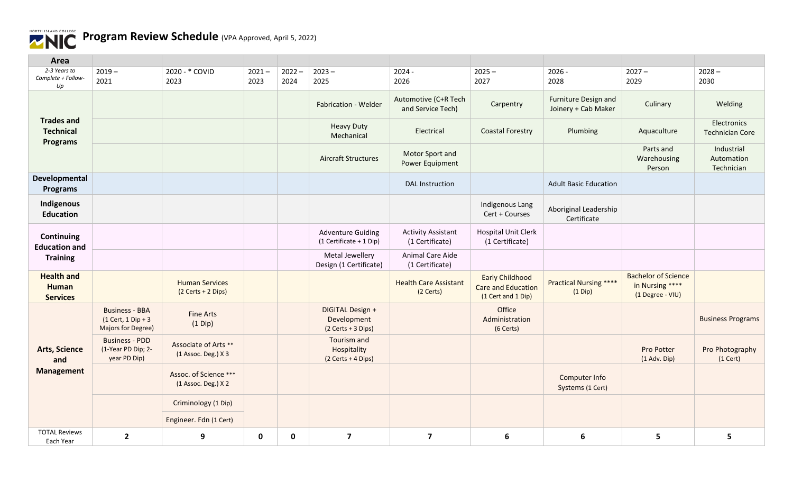

| Area                                                     |                                                                            |                                              |                  |                  |                                                       |                                              |                                                                           |                                             |                                                                   |                                        |
|----------------------------------------------------------|----------------------------------------------------------------------------|----------------------------------------------|------------------|------------------|-------------------------------------------------------|----------------------------------------------|---------------------------------------------------------------------------|---------------------------------------------|-------------------------------------------------------------------|----------------------------------------|
| 2-3 Years to<br>Complete + Follow-<br>Up                 | $2019 -$<br>2021                                                           | 2020 - * COVID<br>2023                       | $2021 -$<br>2023 | $2022 -$<br>2024 | $2023 -$<br>2025                                      | $2024 -$<br>2026                             | $2025 -$<br>2027                                                          | $2026 -$<br>2028                            | $2027 -$<br>2029                                                  | $2028 -$<br>2030                       |
|                                                          |                                                                            |                                              |                  |                  | Fabrication - Welder                                  | Automotive (C+R Tech<br>and Service Tech)    | Carpentry                                                                 | Furniture Design and<br>Joinery + Cab Maker | Culinary                                                          | Welding                                |
| <b>Trades and</b><br><b>Technical</b><br><b>Programs</b> |                                                                            |                                              |                  |                  | <b>Heavy Duty</b><br>Mechanical                       | Electrical                                   | <b>Coastal Forestry</b>                                                   | Plumbing                                    | Aquaculture                                                       | Electronics<br><b>Technician Core</b>  |
|                                                          |                                                                            |                                              |                  |                  | <b>Aircraft Structures</b>                            | Motor Sport and<br>Power Equipment           |                                                                           |                                             | Parts and<br>Warehousing<br>Person                                | Industrial<br>Automation<br>Technician |
| Developmental<br>Programs                                |                                                                            |                                              |                  |                  |                                                       | <b>DAL</b> Instruction                       |                                                                           | <b>Adult Basic Education</b>                |                                                                   |                                        |
| Indigenous<br><b>Education</b>                           |                                                                            |                                              |                  |                  |                                                       |                                              | Indigenous Lang<br>Cert + Courses                                         | Aboriginal Leadership<br>Certificate        |                                                                   |                                        |
| Continuing<br><b>Education and</b>                       |                                                                            |                                              |                  |                  | <b>Adventure Guiding</b><br>(1 Certificate + 1 Dip)   | <b>Activity Assistant</b><br>(1 Certificate) | <b>Hospital Unit Clerk</b><br>(1 Certificate)                             |                                             |                                                                   |                                        |
| <b>Training</b>                                          |                                                                            |                                              |                  |                  | Metal Jewellery<br>Design (1 Certificate)             | Animal Care Aide<br>(1 Certificate)          |                                                                           |                                             |                                                                   |                                        |
| <b>Health and</b><br><b>Human</b><br><b>Services</b>     |                                                                            | <b>Human Services</b><br>(2 Certs + 2 Dips)  |                  |                  |                                                       | <b>Health Care Assistant</b><br>(2 Certs)    | <b>Early Childhood</b><br><b>Care and Education</b><br>(1 Cert and 1 Dip) | <b>Practical Nursing ****</b><br>$(1$ Dip)  | <b>Bachelor of Science</b><br>in Nursing ****<br>(1 Degree - VIU) |                                        |
|                                                          | <b>Business - BBA</b><br>$(1$ Cert, 1 Dip + 3<br><b>Majors for Degree)</b> | <b>Fine Arts</b><br>$(1$ Dip)                |                  |                  | DIGITAL Design +<br>Development<br>(2 Certs + 3 Dips) |                                              | Office<br>Administration<br>(6 Certs)                                     |                                             |                                                                   | <b>Business Programs</b>               |
| <b>Arts, Science</b><br>and<br><b>Management</b>         | <b>Business - PDD</b><br>(1-Year PD Dip; 2-<br>year PD Dip)                | Associate of Arts **<br>(1 Assoc. Deg.) X 3  |                  |                  | Tourism and<br>Hospitality<br>(2 Certs + 4 Dips)      |                                              |                                                                           |                                             | Pro Potter<br>$(1$ Adv. Dip)                                      | Pro Photography<br>$(1$ Cert)          |
|                                                          |                                                                            | Assoc. of Science ***<br>(1 Assoc. Deg.) X 2 |                  |                  |                                                       |                                              |                                                                           | Computer Info<br>Systems (1 Cert)           |                                                                   |                                        |
|                                                          |                                                                            | Criminology (1 Dip)                          |                  |                  |                                                       |                                              |                                                                           |                                             |                                                                   |                                        |
|                                                          |                                                                            | Engineer. Fdn (1 Cert)                       |                  |                  |                                                       |                                              |                                                                           |                                             |                                                                   |                                        |
| <b>TOTAL Reviews</b><br>Each Year                        | $\mathbf{2}$                                                               | 9                                            | $\mathbf 0$      | 0                | $\overline{\mathbf{z}}$                               | $\overline{7}$                               | 6                                                                         | 6                                           | 5                                                                 | 5                                      |